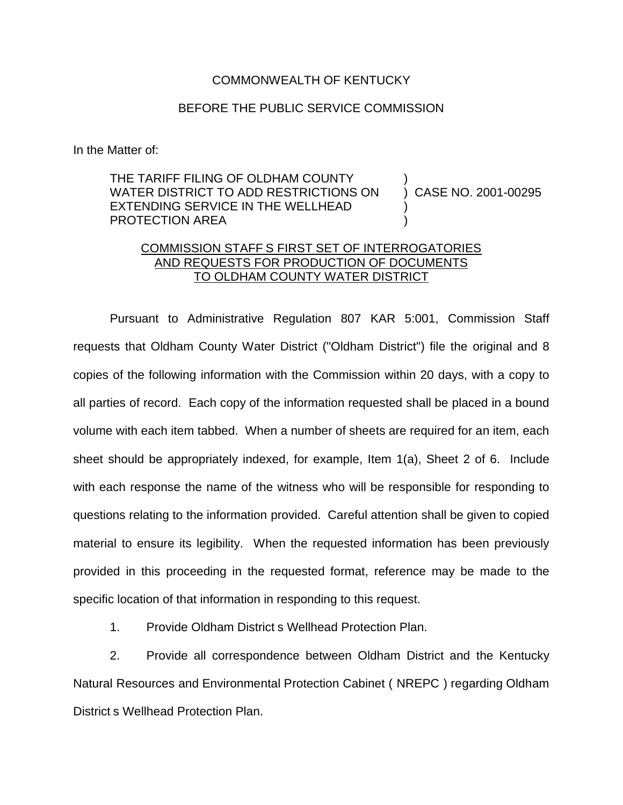## COMMONWEALTH OF KENTUCKY

## BEFORE THE PUBLIC SERVICE COMMISSION

In the Matter of:

THE TARIFF FILING OF OLDHAM COUNTY WATER DISTRICT TO ADD RESTRICTIONS ON EXTENDING SERVICE IN THE WELLHEAD PROTECTION AREA ) ) CASE NO. 2001-00295 ) )

## COMMISSION STAFF S FIRST SET OF INTERROGATORIES AND REQUESTS FOR PRODUCTION OF DOCUMENTS TO OLDHAM COUNTY WATER DISTRICT

Pursuant to Administrative Regulation 807 KAR 5:001, Commission Staff requests that Oldham County Water District ("Oldham District") file the original and 8 copies of the following information with the Commission within 20 days, with a copy to all parties of record. Each copy of the information requested shall be placed in a bound volume with each item tabbed. When a number of sheets are required for an item, each sheet should be appropriately indexed, for example, Item 1(a), Sheet 2 of 6. Include with each response the name of the witness who will be responsible for responding to questions relating to the information provided. Careful attention shall be given to copied material to ensure its legibility. When the requested information has been previously provided in this proceeding in the requested format, reference may be made to the specific location of that information in responding to this request.

1. Provide Oldham District s Wellhead Protection Plan.

2. Provide all correspondence between Oldham District and the Kentucky Natural Resources and Environmental Protection Cabinet ( NREPC ) regarding Oldham District s Wellhead Protection Plan.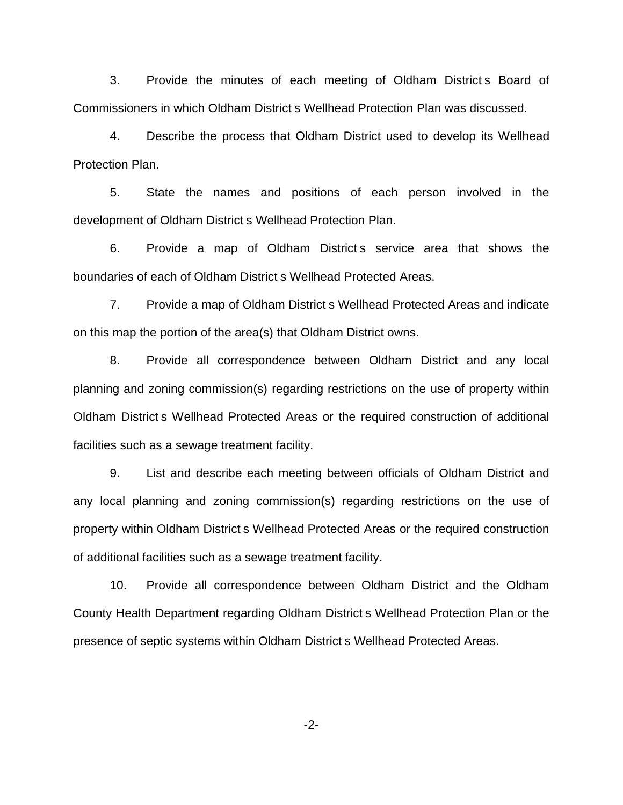3. Provide the minutes of each meeting of Oldham District s Board of Commissioners in which Oldham District s Wellhead Protection Plan was discussed.

4. Describe the process that Oldham District used to develop its Wellhead Protection Plan.

5. State the names and positions of each person involved in the development of Oldham District s Wellhead Protection Plan.

6. Provide a map of Oldham District s service area that shows the boundaries of each of Oldham District s Wellhead Protected Areas.

7. Provide a map of Oldham District s Wellhead Protected Areas and indicate on this map the portion of the area(s) that Oldham District owns.

8. Provide all correspondence between Oldham District and any local planning and zoning commission(s) regarding restrictions on the use of property within Oldham District s Wellhead Protected Areas or the required construction of additional facilities such as a sewage treatment facility.

9. List and describe each meeting between officials of Oldham District and any local planning and zoning commission(s) regarding restrictions on the use of property within Oldham District s Wellhead Protected Areas or the required construction of additional facilities such as a sewage treatment facility.

10. Provide all correspondence between Oldham District and the Oldham County Health Department regarding Oldham District s Wellhead Protection Plan or the presence of septic systems within Oldham District s Wellhead Protected Areas.

-2-